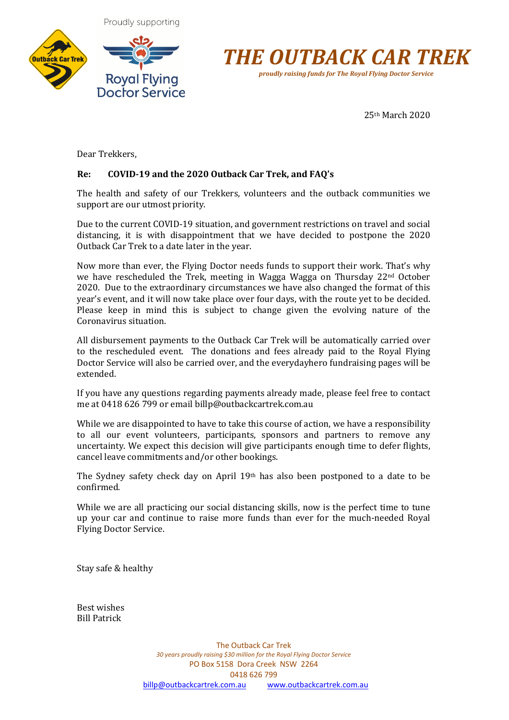





25th March 2020

Dear Trekkers,

# **Re: COVID-19 and the 2020 Outback Car Trek, and FAQ's**

The health and safety of our Trekkers, volunteers and the outback communities we support are our utmost priority.

Due to the current COVID-19 situation, and government restrictions on travel and social distancing, it is with disappointment that we have decided to postpone the 2020 Outback Car Trek to a date later in the year.

Now more than ever, the Flying Doctor needs funds to support their work. That's why we have rescheduled the Trek, meeting in Wagga Wagga on Thursday 22<sup>nd</sup> October 2020. Due to the extraordinary circumstances we have also changed the format of this year's event, and it will now take place over four days, with the route yet to be decided. Please keep in mind this is subject to change given the evolving nature of the Coronavirus situation.

All disbursement payments to the Outback Car Trek will be automatically carried over to the rescheduled event. The donations and fees already paid to the Royal Flying Doctor Service will also be carried over, and the everydayhero fundraising pages will be extended.

If you have any questions regarding payments already made, please feel free to contact me at 0418 626 799 or email billp@outbackcartrek.com.au

While we are disappointed to have to take this course of action, we have a responsibility to all our event volunteers, participants, sponsors and partners to remove any uncertainty. We expect this decision will give participants enough time to defer flights, cancel leave commitments and/or other bookings.

The Sydney safety check day on April  $19<sup>th</sup>$  has also been postponed to a date to be confirmed. 

While we are all practicing our social distancing skills, now is the perfect time to tune up your car and continue to raise more funds than ever for the much-needed Royal Flying Doctor Service.

Stay safe & healthy

Best wishes Bill Patrick

> The Outback Car Trek *30 years proudly raising \$30 million for the Royal Flying Doctor Service* PO Box 5158 Dora Creek NSW 2264 0418 626 799 billp@outbackcartrek.com.au www.outbackcartrek.com.au